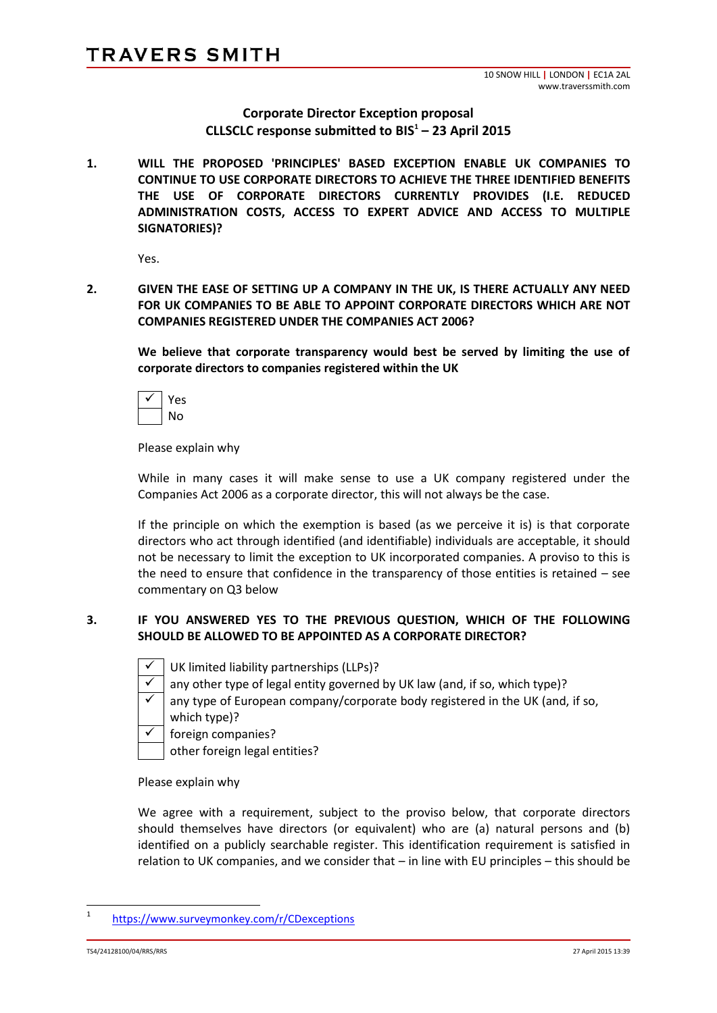# **Corporate Director Exception proposal CLLSCLC response submitted to BIS<sup>1</sup> – 23 April 2015**

**1. WILL THE PROPOSED 'PRINCIPLES' BASED EXCEPTION ENABLE UK COMPANIES TO CONTINUE TO USE CORPORATE DIRECTORS TO ACHIEVE THE THREE IDENTIFIED BENEFITS THE USE OF CORPORATE DIRECTORS CURRENTLY PROVIDES (I.E. REDUCED ADMINISTRATION COSTS, ACCESS TO EXPERT ADVICE AND ACCESS TO MULTIPLE SIGNATORIES)?**

Yes.

**2. GIVEN THE EASE OF SETTING UP A COMPANY IN THE UK, IS THERE ACTUALLY ANY NEED FOR UK COMPANIES TO BE ABLE TO APPOINT CORPORATE DIRECTORS WHICH ARE NOT COMPANIES REGISTERED UNDER THE COMPANIES ACT 2006?**

**We believe that corporate transparency would best be served by limiting the use of corporate directors to companies registered within the UK**

| ς<br>٠ |  |  |
|--------|--|--|
| J٥     |  |  |

Please explain why

While in many cases it will make sense to use a UK company registered under the Companies Act 2006 as a corporate director, this will not always be the case.

If the principle on which the exemption is based (as we perceive it is) is that corporate directors who act through identified (and identifiable) individuals are acceptable, it should not be necessary to limit the exception to UK incorporated companies. A proviso to this is the need to ensure that confidence in the transparency of those entities is retained – see commentary on Q3 below

# **3. IF YOU ANSWERED YES TO THE PREVIOUS QUESTION, WHICH OF THE FOLLOWING SHOULD BE ALLOWED TO BE APPOINTED AS A CORPORATE DIRECTOR?**

 $\sqrt{\phantom{a}}$  UK limited liability partnerships (LLPs)?

- $\checkmark$  any other type of legal entity governed by UK law (and, if so, which type)?
	- any type of European company/corporate body registered in the UK (and, if so,

which type)?

 $\checkmark$  | foreign companies?

other foreign legal entities?

Please explain why

We agree with a requirement, subject to the proviso below, that corporate directors should themselves have directors (or equivalent) who are (a) natural persons and (b) identified on a publicly searchable register. This identification requirement is satisfied in relation to UK companies, and we consider that – in line with EU principles – this should be

TS4/24128100/04/RRS/RRS 27 April 2015 13:39

 $\frac{1}{1}$ <https://www.surveymonkey.com/r/CDexceptions>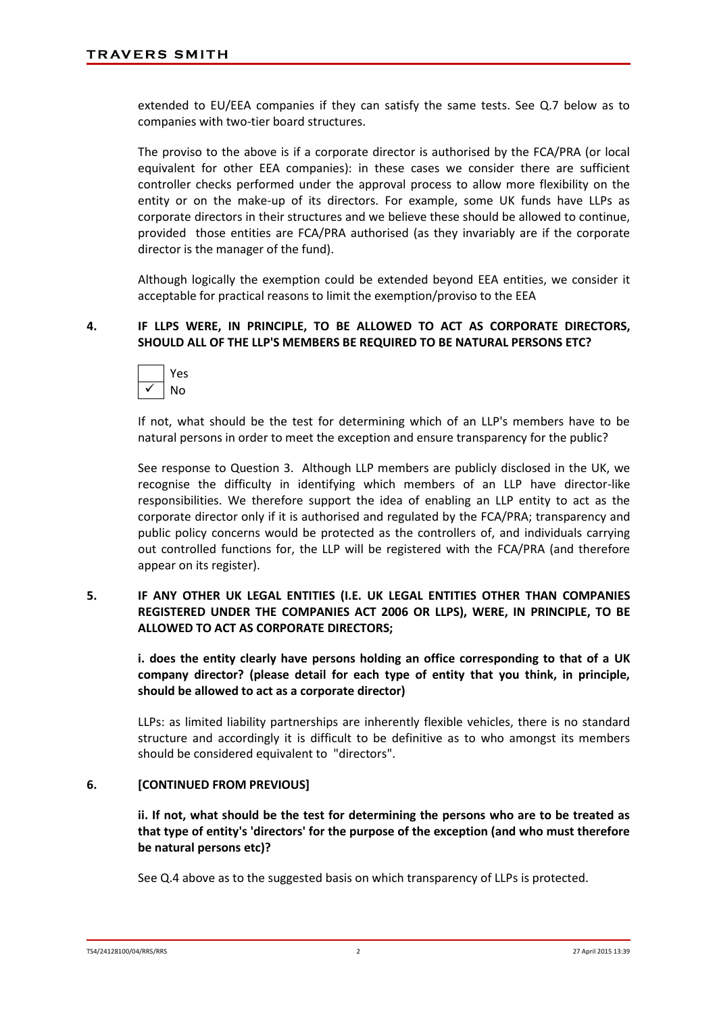extended to EU/EEA companies if they can satisfy the same tests. See Q.7 below as to companies with two-tier board structures.

The proviso to the above is if a corporate director is authorised by the FCA/PRA (or local equivalent for other EEA companies): in these cases we consider there are sufficient controller checks performed under the approval process to allow more flexibility on the entity or on the make-up of its directors. For example, some UK funds have LLPs as corporate directors in their structures and we believe these should be allowed to continue, provided those entities are FCA/PRA authorised (as they invariably are if the corporate director is the manager of the fund).

Although logically the exemption could be extended beyond EEA entities, we consider it acceptable for practical reasons to limit the exemption/proviso to the EEA

## **4. IF LLPS WERE, IN PRINCIPLE, TO BE ALLOWED TO ACT AS CORPORATE DIRECTORS, SHOULD ALL OF THE LLP'S MEMBERS BE REQUIRED TO BE NATURAL PERSONS ETC?**



If not, what should be the test for determining which of an LLP's members have to be natural persons in order to meet the exception and ensure transparency for the public?

See response to Question 3. Although LLP members are publicly disclosed in the UK, we recognise the difficulty in identifying which members of an LLP have director-like responsibilities. We therefore support the idea of enabling an LLP entity to act as the corporate director only if it is authorised and regulated by the FCA/PRA; transparency and public policy concerns would be protected as the controllers of, and individuals carrying out controlled functions for, the LLP will be registered with the FCA/PRA (and therefore appear on its register).

## **5. IF ANY OTHER UK LEGAL ENTITIES (I.E. UK LEGAL ENTITIES OTHER THAN COMPANIES REGISTERED UNDER THE COMPANIES ACT 2006 OR LLPS), WERE, IN PRINCIPLE, TO BE ALLOWED TO ACT AS CORPORATE DIRECTORS;**

**i. does the entity clearly have persons holding an office corresponding to that of a UK company director? (please detail for each type of entity that you think, in principle, should be allowed to act as a corporate director)**

LLPs: as limited liability partnerships are inherently flexible vehicles, there is no standard structure and accordingly it is difficult to be definitive as to who amongst its members should be considered equivalent to "directors".

## **6. [CONTINUED FROM PREVIOUS]**

**ii. If not, what should be the test for determining the persons who are to be treated as that type of entity's 'directors' for the purpose of the exception (and who must therefore be natural persons etc)?**

See Q.4 above as to the suggested basis on which transparency of LLPs is protected.

TS4/24128100/04/RRS/RRS 2 27 April 2015 13:39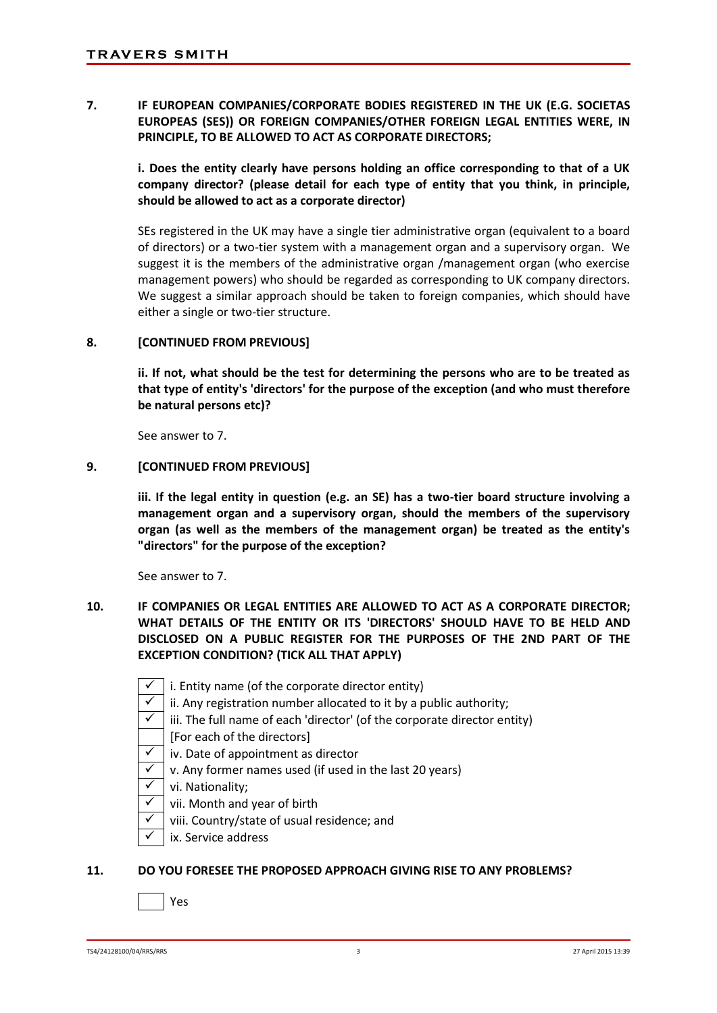**7. IF EUROPEAN COMPANIES/CORPORATE BODIES REGISTERED IN THE UK (E.G. SOCIETAS EUROPEAS (SES)) OR FOREIGN COMPANIES/OTHER FOREIGN LEGAL ENTITIES WERE, IN PRINCIPLE, TO BE ALLOWED TO ACT AS CORPORATE DIRECTORS;**

**i. Does the entity clearly have persons holding an office corresponding to that of a UK company director? (please detail for each type of entity that you think, in principle, should be allowed to act as a corporate director)**

SEs registered in the UK may have a single tier administrative organ (equivalent to a board of directors) or a two-tier system with a management organ and a supervisory organ. We suggest it is the members of the administrative organ /management organ (who exercise management powers) who should be regarded as corresponding to UK company directors. We suggest a similar approach should be taken to foreign companies, which should have either a single or two-tier structure.

## **8. [CONTINUED FROM PREVIOUS]**

**ii. If not, what should be the test for determining the persons who are to be treated as that type of entity's 'directors' for the purpose of the exception (and who must therefore be natural persons etc)?**

See answer to 7.

#### **9. [CONTINUED FROM PREVIOUS]**

**iii. If the legal entity in question (e.g. an SE) has a two-tier board structure involving a management organ and a supervisory organ, should the members of the supervisory organ (as well as the members of the management organ) be treated as the entity's "directors" for the purpose of the exception?**

See answer to 7.

- **10. IF COMPANIES OR LEGAL ENTITIES ARE ALLOWED TO ACT AS A CORPORATE DIRECTOR; WHAT DETAILS OF THE ENTITY OR ITS 'DIRECTORS' SHOULD HAVE TO BE HELD AND DISCLOSED ON A PUBLIC REGISTER FOR THE PURPOSES OF THE 2ND PART OF THE EXCEPTION CONDITION? (TICK ALL THAT APPLY)**
	- i. Entity name (of the corporate director entity)
	- $\sqrt{\ }$  ii. Any registration number allocated to it by a public authority;
	- $\sqrt{\phantom{a}}$  iii. The full name of each 'director' (of the corporate director entity)
	- [For each of the directors]
	- $\checkmark$  | iv. Date of appointment as director
	- $\sqrt{\ }$  v. Any former names used (if used in the last 20 years)
	- $\checkmark$  vi. Nationality;
	- $\sqrt{\phantom{a}}$  vii. Month and year of birth
	- $\checkmark$  | viii. Country/state of usual residence; and
	- ix. Service address

#### **11. DO YOU FORESEE THE PROPOSED APPROACH GIVING RISE TO ANY PROBLEMS?**

Yes